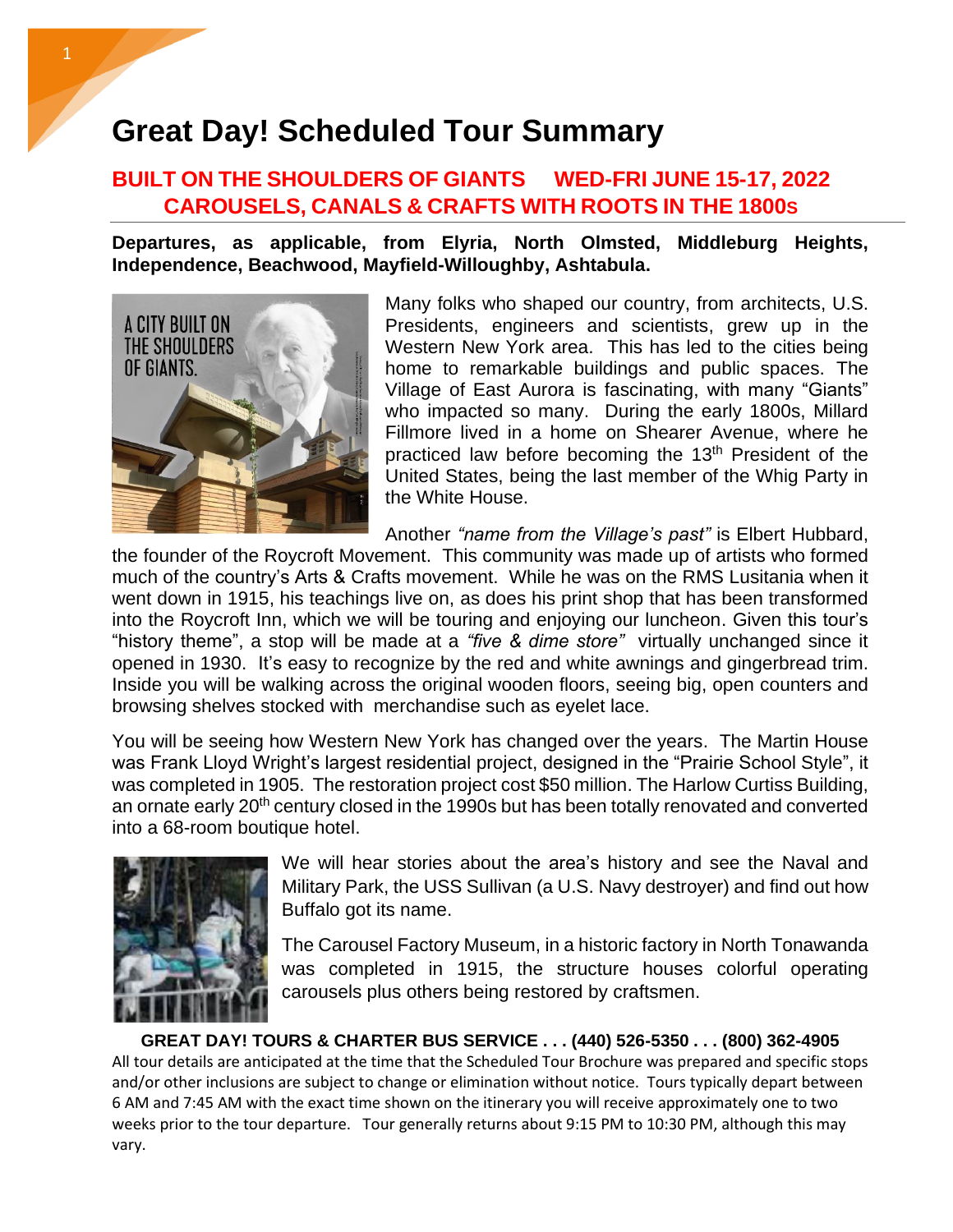## **Great Day! Scheduled Tour Summary**

## **BUILT ON THE SHOULDERS OF GIANTS WED-FRI JUNE 15-17, 2022 … … . CAROUSELS, CANALS & CRAFTS WITH ROOTS IN THE 1800S**

**Departures, as applicable, from Elyria, North Olmsted, Middleburg Heights, Independence, Beachwood, Mayfield-Willoughby, Ashtabula.** 



Many folks who shaped our country, from architects, U.S. Presidents, engineers and scientists, grew up in the Western New York area. This has led to the cities being home to remarkable buildings and public spaces. The Village of East Aurora is fascinating, with many "Giants" who impacted so many. During the early 1800s, Millard Fillmore lived in a home on Shearer Avenue, where he practiced law before becoming the 13<sup>th</sup> President of the United States, being the last member of the Whig Party in the White House.

Another *"name from the Village's past"* is Elbert Hubbard,

the founder of the [Roycroft Movement.](https://en.wikipedia.org/wiki/Roycroft) This community was made up of artists who formed much of the country's Arts & Crafts movement. While he was on the RMS Lusitania when it went down in 1915, his teachings live on, as does his print shop that has been transformed into the Roycroft Inn, which we will be touring and enjoying our luncheon. Given this tour's "history theme", a stop will be made at a *"five & dime store"* virtually unchanged since it opened in 1930. It's easy to recognize by the red and white awnings and gingerbread trim. Inside you will be walking across the original wooden floors, seeing big, open counters and browsing shelves stocked with merchandise such as eyelet lace.

You will be seeing how Western New York has changed over the years. The Martin House was Frank Lloyd Wright's largest residential project, designed in the "Prairie School Style", it was completed in 1905. The restoration project cost \$50 million. The Harlow Curtiss Building, an ornate early 20<sup>th</sup> century closed in the 1990s but has been totally renovated and converted into a 68-room boutique hotel.



We will hear stories about the area's history and see the Naval and Military Park, the USS Sullivan (a U.S. Navy destroyer) and find out how Buffalo got its name.

The Carousel Factory Museum, in a historic factory in North Tonawanda was completed in 1915, the structure houses colorful operating carousels plus others being restored by craftsmen.

**GREAT DAY! TOURS & CHARTER BUS SERVICE . . . (440) 526-5350 . . . (800) 362-4905** All tour details are anticipated at the time that the Scheduled Tour Brochure was prepared and specific stops and/or other inclusions are subject to change or elimination without notice. Tours typically depart between 6 AM and 7:45 AM with the exact time shown on the itinerary you will receive approximately one to two weeks prior to the tour departure. Tour generally returns about 9:15 PM to 10:30 PM, although this may vary.

l